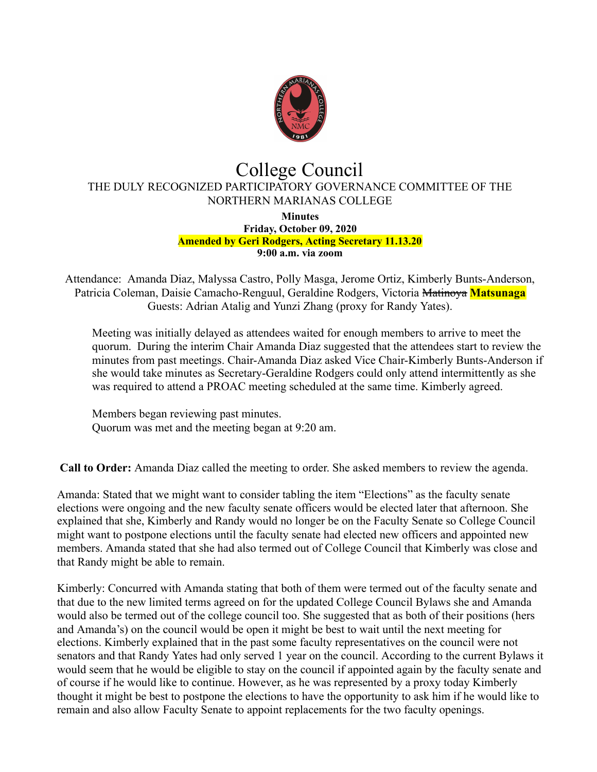

## College Council THE DULY RECOGNIZED PARTICIPATORY GOVERNANCE COMMITTEE OF THE NORTHERN MARIANAS COLLEGE

**Minutes Friday, October 09, 2020 Amended by Geri Rodgers, Acting Secretary 11.13.20 9:00 a.m. via zoom**

Attendance: Amanda Diaz, Malyssa Castro, Polly Masga, Jerome Ortiz, Kimberly Bunts-Anderson, Patricia Coleman, Daisie Camacho-Renguul, Geraldine Rodgers, Victoria Matinoya **Matsunaga**  Guests: Adrian Atalig and Yunzi Zhang (proxy for Randy Yates).

Meeting was initially delayed as attendees waited for enough members to arrive to meet the quorum. During the interim Chair Amanda Diaz suggested that the attendees start to review the minutes from past meetings. Chair-Amanda Diaz asked Vice Chair-Kimberly Bunts-Anderson if she would take minutes as Secretary-Geraldine Rodgers could only attend intermittently as she was required to attend a PROAC meeting scheduled at the same time. Kimberly agreed.

Members began reviewing past minutes. Quorum was met and the meeting began at 9:20 am.

**Call to Order:** Amanda Diaz called the meeting to order. She asked members to review the agenda.

Amanda: Stated that we might want to consider tabling the item "Elections" as the faculty senate elections were ongoing and the new faculty senate officers would be elected later that afternoon. She explained that she, Kimberly and Randy would no longer be on the Faculty Senate so College Council might want to postpone elections until the faculty senate had elected new officers and appointed new members. Amanda stated that she had also termed out of College Council that Kimberly was close and that Randy might be able to remain.

Kimberly: Concurred with Amanda stating that both of them were termed out of the faculty senate and that due to the new limited terms agreed on for the updated College Council Bylaws she and Amanda would also be termed out of the college council too. She suggested that as both of their positions (hers and Amanda's) on the council would be open it might be best to wait until the next meeting for elections. Kimberly explained that in the past some faculty representatives on the council were not senators and that Randy Yates had only served 1 year on the council. According to the current Bylaws it would seem that he would be eligible to stay on the council if appointed again by the faculty senate and of course if he would like to continue. However, as he was represented by a proxy today Kimberly thought it might be best to postpone the elections to have the opportunity to ask him if he would like to remain and also allow Faculty Senate to appoint replacements for the two faculty openings.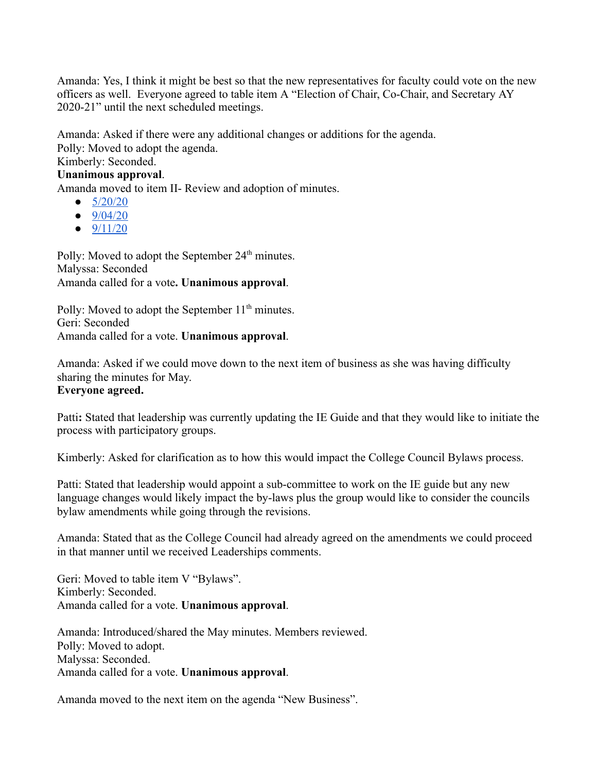Amanda: Yes, I think it might be best so that the new representatives for faculty could vote on the new officers as well. Everyone agreed to table item A "Election of Chair, Co-Chair, and Secretary AY 2020-21" until the next scheduled meetings.

Amanda: Asked if there were any additional changes or additions for the agenda.

Polly: Moved to adopt the agenda.

## Kimberly: Seconded.

**Unanimous approval** .

Amanda moved to item II- Review and adoption of minutes.

- $\bullet$  [5/20/20](https://docs.google.com/document/d/1nhDoXbfGEPN_kdeywbAJ8I-PbDwuU8Xq/edit)
- $\bullet$  [9/04/20](https://docs.google.com/document/d/1hdUibrGCEZcB7xqG8izi-svIoN2ZQOy1_X2vETEWqKE/edit)
- $\bullet$  [9/11/20](https://docs.google.com/document/d/16fFgyZaG0rQjw3x5PlW1R_DGjeSX9SaBQWbbYgkC4jM/edit#heading=h.gjdgxs)

Polly: Moved to adopt the September 24<sup>th</sup> minutes. Malyssa: Seconded Amanda called for a vote. **Unanimous approval**.

Polly: Moved to adopt the September  $11<sup>th</sup>$  minutes. Geri: Seconded Amanda called for a vote. **Unanimous approval** .

Amanda: Asked if we could move down to the next item of business as she was having difficulty sharing the minutes for May. **Everyone agreed.** 

Patti: Stated that leadership was currently updating the IE Guide and that they would like to initiate the process with participatory groups.

Kimberly: Asked for clarification as to how this would impact the College Council Bylaws process.

Patti: Stated that leadership would appoint a sub-committee to work on the IE guide but any new language changes would likely impact the by-laws plus the group would like to consider the councils bylaw amendments while going through the revisions.

Amanda: Stated that as the College Council had already agreed on the amendments we could proceed in that manner until we received Leaderships comments.

Geri: Moved to table item V "Bylaws". Kimberly: Seconded. Amanda called for a vote. **Unanimous approval** .

Amanda: Introduced/shared the May minutes. Members reviewed. Polly: Moved to adopt. Malyssa: Seconded. Amanda called for a vote. **Unanimous approval** .

Amanda moved to the next item on the agenda "New Business".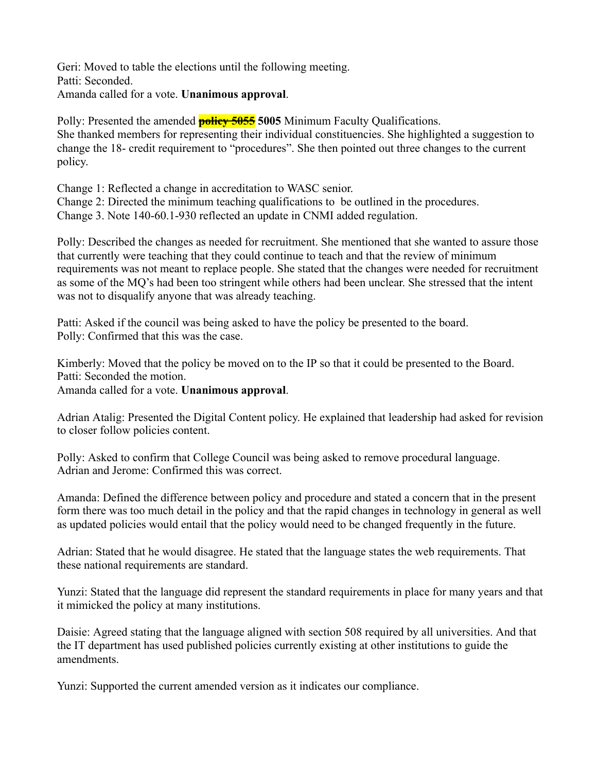Geri: Moved to table the elections until the following meeting. Patti: Seconded. Amanda called for a vote. **Unanimous approval** .

Polly: Presented the amended **policy 5055 5005** Minimum Faculty Qualifications. She thanked members for representing their individual constituencies. She highlighted a suggestion to change the 18- credit requirement to "procedures". She then pointed out three changes to the current policy.

Change 1: Reflected a change in accreditation to WASC senior. Change 2: Directed the minimum teaching qualifications to be outlined in the procedures. Change 3. Note 140-60.1-930 reflected an update in CNMI added regulation.

Polly: Described the changes as needed for recruitment. She mentioned that she wanted to assure those that currently were teaching that they could continue to teach and that the review of minimum requirements was not meant to replace people. She stated that the changes were needed for recruitment as some of the MQ's had been too stringent while others had been unclear. She stressed that the intent was not to disqualify anyone that was already teaching.

Patti: Asked if the council was being asked to have the policy be presented to the board. Polly: Confirmed that this was the case.

Kimberly: Moved that the policy be moved on to the IP so that it could be presented to the Board. Patti: Seconded the motion.

Amanda called for a vote. **Unanimous approval** .

Adrian Atalig: Presented the Digital Content policy. He explained that leadership had asked for revision to closer follow policies content.

Polly: Asked to confirm that College Council was being asked to remove procedural language. Adrian and Jerome: Confirmed this was correct.

Amanda: Defined the difference between policy and procedure and stated a concern that in the present form there was too much detail in the policy and that the rapid changes in technology in general as well as updated policies would entail that the policy would need to be changed frequently in the future.

Adrian: Stated that he would disagree. He stated that the language states the web requirements. That these national requirements are standard.

Yunzi: Stated that the language did represent the standard requirements in place for many years and that it mimicked the policy at many institutions.

Daisie: Agreed stating that the language aligned with section 508 required by all universities. And that the IT department has used published policies currently existing at other institutions to guide the amendments.

Yunzi: Supported the current amended version as it indicates our compliance.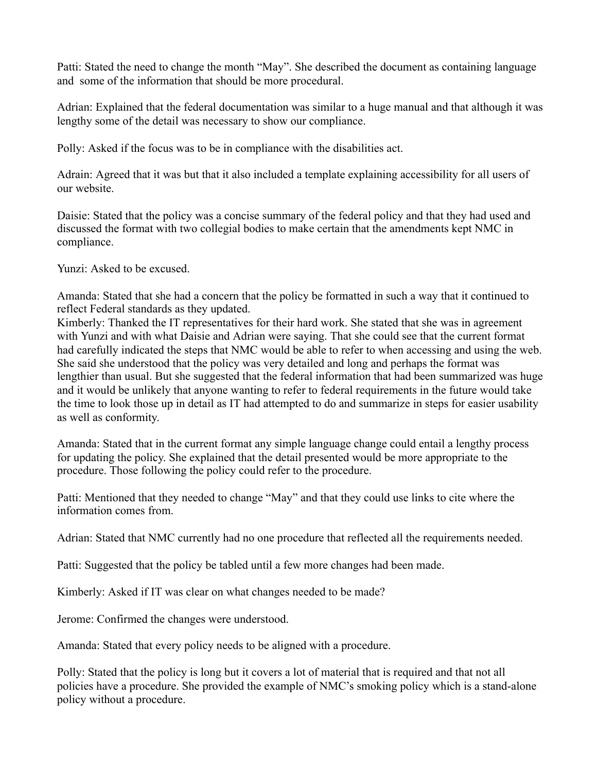Patti: Stated the need to change the month "May". She described the document as containing language and some of the information that should be more procedural.

Adrian: Explained that the federal documentation was similar to a huge manual and that although it was lengthy some of the detail was necessary to show our compliance.

Polly: Asked if the focus was to be in compliance with the disabilities act.

Adrain: Agreed that it was but that it also included a template explaining accessibility for all users of our website.

Daisie: Stated that the policy was a concise summary of the federal policy and that they had used and discussed the format with two collegial bodies to make certain that the amendments kept NMC in compliance.

Yunzi: Asked to be excused.

Amanda: Stated that she had a concern that the policy be formatted in such a way that it continued to reflect Federal standards as they updated.

Kimberly: Thanked the IT representatives for their hard work. She stated that she was in agreement with Yunzi and with what Daisie and Adrian were saying. That she could see that the current format had carefully indicated the steps that NMC would be able to refer to when accessing and using the web. She said she understood that the policy was very detailed and long and perhaps the format was lengthier than usual. But she suggested that the federal information that had been summarized was huge and it would be unlikely that anyone wanting to refer to federal requirements in the future would take the time to look those up in detail as IT had attempted to do and summarize in steps for easier usability as well as conformity.

Amanda: Stated that in the current format any simple language change could entail a lengthy process for updating the policy. She explained that the detail presented would be more appropriate to the procedure. Those following the policy could refer to the procedure.

Patti: Mentioned that they needed to change "May" and that they could use links to cite where the information comes from.

Adrian: Stated that NMC currently had no one procedure that reflected all the requirements needed.

Patti: Suggested that the policy be tabled until a few more changes had been made.

Kimberly: Asked if IT was clear on what changes needed to be made?

Jerome: Confirmed the changes were understood.

Amanda: Stated that every policy needs to be aligned with a procedure.

Polly: Stated that the policy is long but it covers a lot of material that is required and that not all policies have a procedure. She provided the example of NMC's smoking policy which is a stand-alone policy without a procedure.